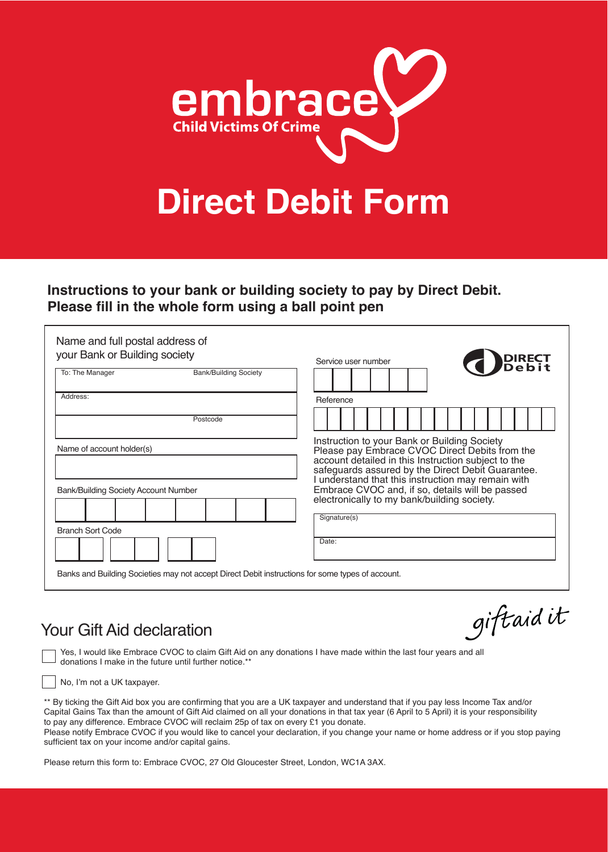

### **Instructions to your bank or building society to pay by Direct Debit. Please fll in the whole form using a ball point pen**

| Name and full postal address of<br>your Bank or Building society                                 | <b>BEEFI</b><br>Service user number                                                                                                                                                                                                                              |
|--------------------------------------------------------------------------------------------------|------------------------------------------------------------------------------------------------------------------------------------------------------------------------------------------------------------------------------------------------------------------|
| <b>Bank/Building Society</b><br>To: The Manager                                                  |                                                                                                                                                                                                                                                                  |
| Address:                                                                                         | Reference                                                                                                                                                                                                                                                        |
| Postcode                                                                                         |                                                                                                                                                                                                                                                                  |
| Name of account holder(s)                                                                        | Instruction to your Bank or Building Society<br>Please pay Embrace CVOC Direct Debits from the<br>account detailed in this Instruction subject to the<br>safeguards assured by the Direct Debit Guarantee.<br>I understand that this instruction may remain with |
| Bank/Building Society Account Number                                                             | Embrace CVOC and, if so, details will be passed<br>electronically to my bank/building society.<br>Signature(s)                                                                                                                                                   |
| <b>Branch Sort Code</b>                                                                          |                                                                                                                                                                                                                                                                  |
|                                                                                                  | Date:                                                                                                                                                                                                                                                            |
| Banks and Building Societies may not accept Direct Debit instructions for some types of account. |                                                                                                                                                                                                                                                                  |

## Your Gift Aid declaration

giftaidit

 Yes, I would like Embrace CVOC to claim Gift Aid on any donations I have made within the last four years and all donations I make in the future until further notice.\*\*

No, I'm not a UK taxpayer.

֦

\*\* By ticking the Gift Aid box you are confrming that you are a UK taxpayer and understand that if you pay less Income Tax and/or Capital Gains Tax than the amount of Gift Aid claimed on all your donations in that tax year (6 April to 5 April) it is your responsibility to pay any difference. Embrace CVOC will reclaim 25p of tax on every £1 you donate. Please notify Embrace CVOC if you would like to cancel your declaration, if you change your name or home address or if you stop paying sufficient tax on your income and/or capital gains.

Please return this form to: Embrace CVOC, 27 Old Gloucester Street, London, WC1A 3AX.